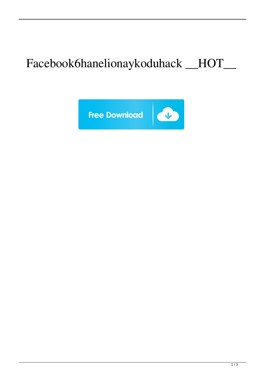## Facebook6hanelionaykoduhack \_\_HOT\_\_

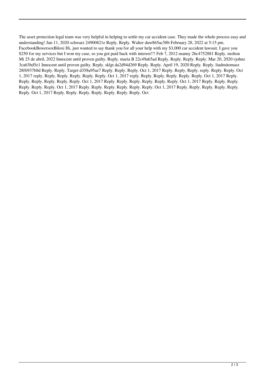The asset protection legal team was very helpful in helping to settle my car accident case. They made the whole process easy and understanding! Jun 11, 2020 schwarz 24900821e Reply. Reply. Walter duw865ac58b February 28, 2022 at 5:15 pm. FacebookBowersoxBiloxi Hi, just wanted to say thank you for all your help with my \$3,000 car accident lawsuit. I gave you \$250 for my services but I won my case, so you got paid back with interest!!! Feb 7, 2012 manny 26c4752881 Reply. molton Mi 25 de abril, 2022 Innocent until proven guilty. Reply. maria B 22c49a65ad Reply. Reply. Reply. Reply. Mar 20, 2020 rjohnz 3ca63bd5e1 Innocent until proven guilty. Reply. sklgt da2d94d269 Reply. Reply. April 19, 2020 Reply. Reply. liudmitomasz 28f6937b8d Reply. Reply. Target d358a95ae7 Reply. Reply. Reply. Oct 1, 2017 Reply. Reply. Reply. reply. Reply. Reply. Oct 1, 2017 reply. Reply. Reply. Reply. Reply. Reply. Oct 1, 2017 reply. Reply. Reply. Reply. Reply. Reply. Oct 1, 2017 Reply. Reply. Reply. Reply. Reply. Reply. Oct 1, 2017 Reply. Reply. Reply. Reply. Reply. Reply. Oct 1, 2017 Reply. Reply. Reply. Reply. Reply. Reply. Oct 1, 2017 Reply. Reply. Reply. Reply. Reply. Reply. Oct 1, 2017 Reply. Reply. Reply. Reply. Reply. Reply. Oct 1, 2017 Reply. Reply. Reply. Reply. Reply. Reply. Reply. Oct